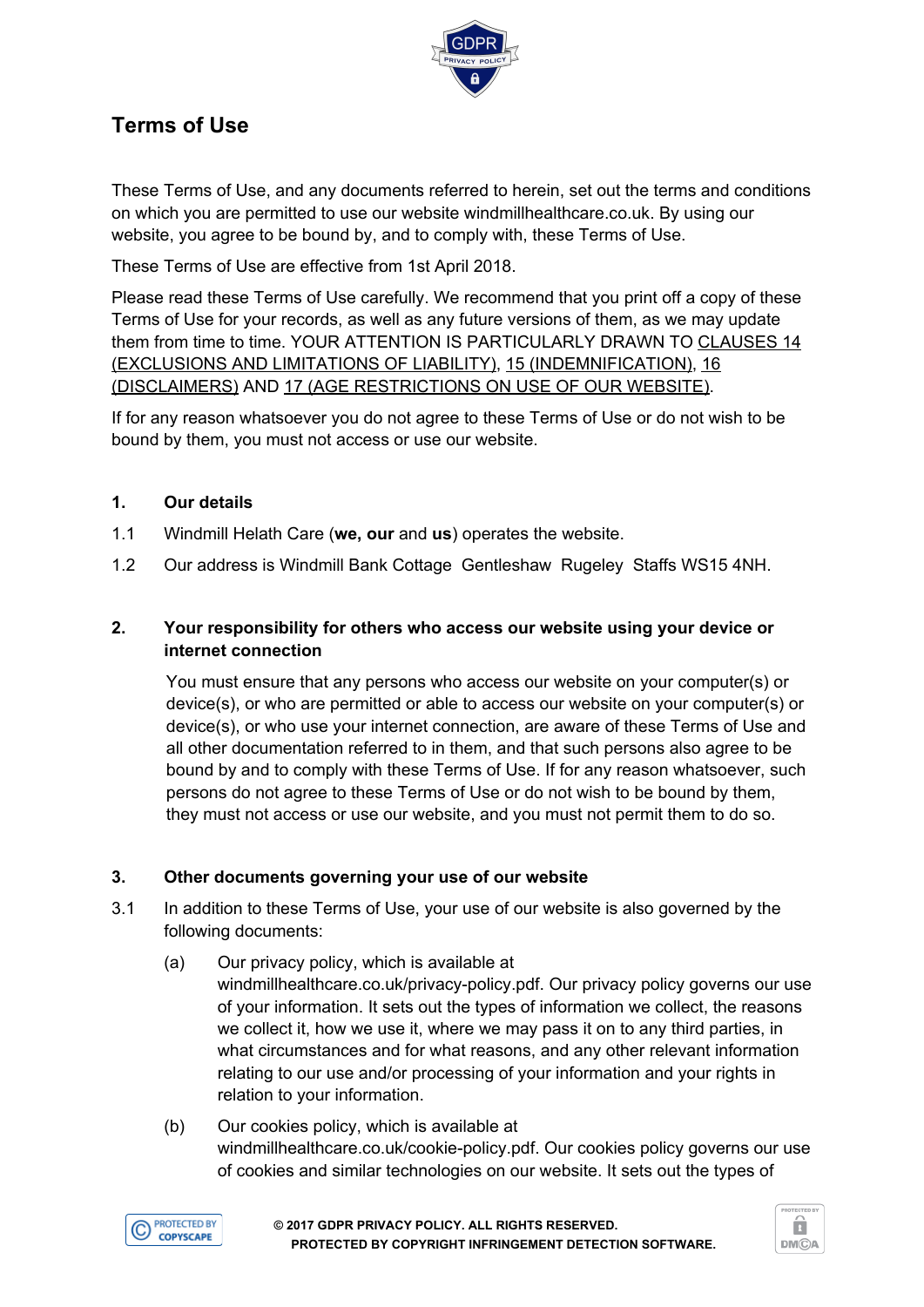

# **Terms of Use**

These Terms of Use, and any documents referred to herein, set out the terms and conditions on which you are permitted to use our website windmillhealthcare.co.uk. By using our website, you agree to be bound by, and to comply with, these Terms of Use.

These Terms of Use are effective from 1st April 2018.

Please read these Terms of Use carefully. We recommend that you print off a copy of these Terms of Use for your records, as well as any future versions of them, as we may update them from time to time. YOUR ATTENTION IS PARTICULARLY DRAWN TO CLAUSES 14 (EXCLUSIONS AND LIMITATIONS OF LIABILITY), 15 (INDEMNIFICATION), 16 (DISCLAIMERS) AND 17 (AGE RESTRICTIONS ON USE OF OUR WEBSITE).

If for any reason whatsoever you do not agree to these Terms of Use or do not wish to be bound by them, you must not access or use our website.

# **1. Our details**

- 1.1 Windmill Helath Care (**we, our** and **us**) operates the website.
- 1.2 Our address is Windmill Bank Cottage Gentleshaw Rugeley Staffs WS15 4NH.

## **2. Your responsibility for others who access our website using your device or internet connection**

You must ensure that any persons who access our website on your computer(s) or device(s), or who are permitted or able to access our website on your computer(s) or device(s), or who use your internet connection, are aware of these Terms of Use and all other documentation referred to in them, and that such persons also agree to be bound by and to comply with these Terms of Use. If for any reason whatsoever, such persons do not agree to these Terms of Use or do not wish to be bound by them, they must not access or use our website, and you must not permit them to do so.

## **3. Other documents governing your use of our website**

- 3.1 In addition to these Terms of Use, your use of our website is also governed by the following documents:
	- (a) Our privacy policy, which is available at windmillhealthcare.co.uk/privacy-policy.pdf. Our privacy policy governs our use of your information. It sets out the types of information we collect, the reasons we collect it, how we use it, where we may pass it on to any third parties, in what circumstances and for what reasons, and any other relevant information relating to our use and/or processing of your information and your rights in relation to your information.
	- (b) Our cookies policy, which is available at windmillhealthcare.co.uk/cookie-policy.pdf. Our cookies policy governs our use of cookies and similar technologies on our website. It sets out the types of

**PROTECTED BY COPYSCAPE** 

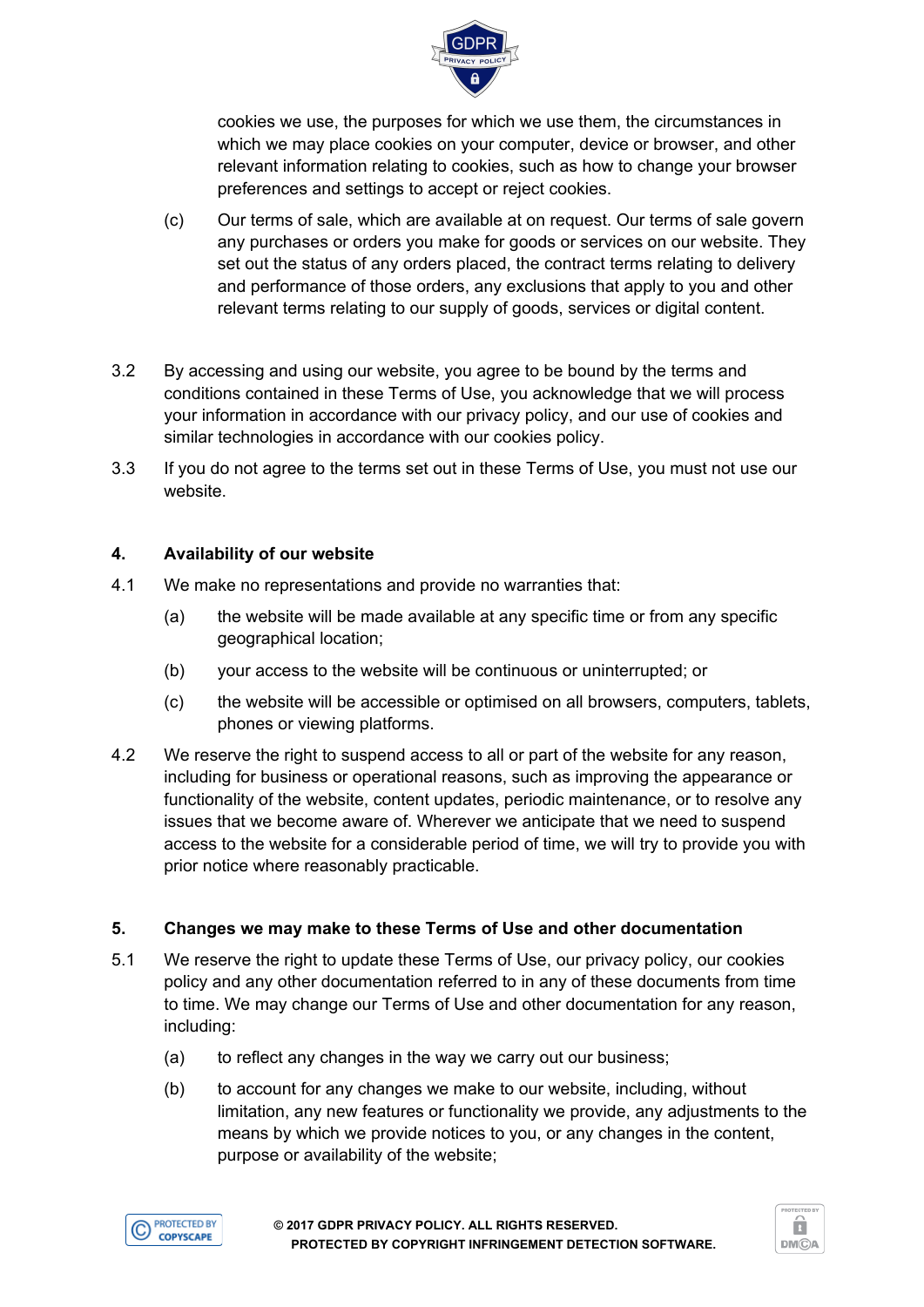

cookies we use, the purposes for which we use them, the circumstances in which we may place cookies on your computer, device or browser, and other relevant information relating to cookies, such as how to change your browser preferences and settings to accept or reject cookies.

- (c) Our terms of sale, which are available at on request. Our terms of sale govern any purchases or orders you make for goods or services on our website. They set out the status of any orders placed, the contract terms relating to delivery and performance of those orders, any exclusions that apply to you and other relevant terms relating to our supply of goods, services or digital content.
- 3.2 By accessing and using our website, you agree to be bound by the terms and conditions contained in these Terms of Use, you acknowledge that we will process your information in accordance with our privacy policy, and our use of cookies and similar technologies in accordance with our cookies policy.
- 3.3 If you do not agree to the terms set out in these Terms of Use, you must not use our website.

## **4. Availability of our website**

- 4.1 We make no representations and provide no warranties that:
	- (a) the website will be made available at any specific time or from any specific geographical location;
	- (b) your access to the website will be continuous or uninterrupted; or
	- (c) the website will be accessible or optimised on all browsers, computers, tablets, phones or viewing platforms.
- 4.2 We reserve the right to suspend access to all or part of the website for any reason, including for business or operational reasons, such as improving the appearance or functionality of the website, content updates, periodic maintenance, or to resolve any issues that we become aware of. Wherever we anticipate that we need to suspend access to the website for a considerable period of time, we will try to provide you with prior notice where reasonably practicable.

## **5. Changes we may make to these Terms of Use and other documentation**

- 5.1 We reserve the right to update these Terms of Use, our privacy policy, our cookies policy and any other documentation referred to in any of these documents from time to time. We may change our Terms of Use and other documentation for any reason, including:
	- (a) to reflect any changes in the way we carry out our business;
	- (b) to account for any changes we make to our website, including, without limitation, any new features or functionality we provide, any adjustments to the means by which we provide notices to you, or any changes in the content, purpose or availability of the website;



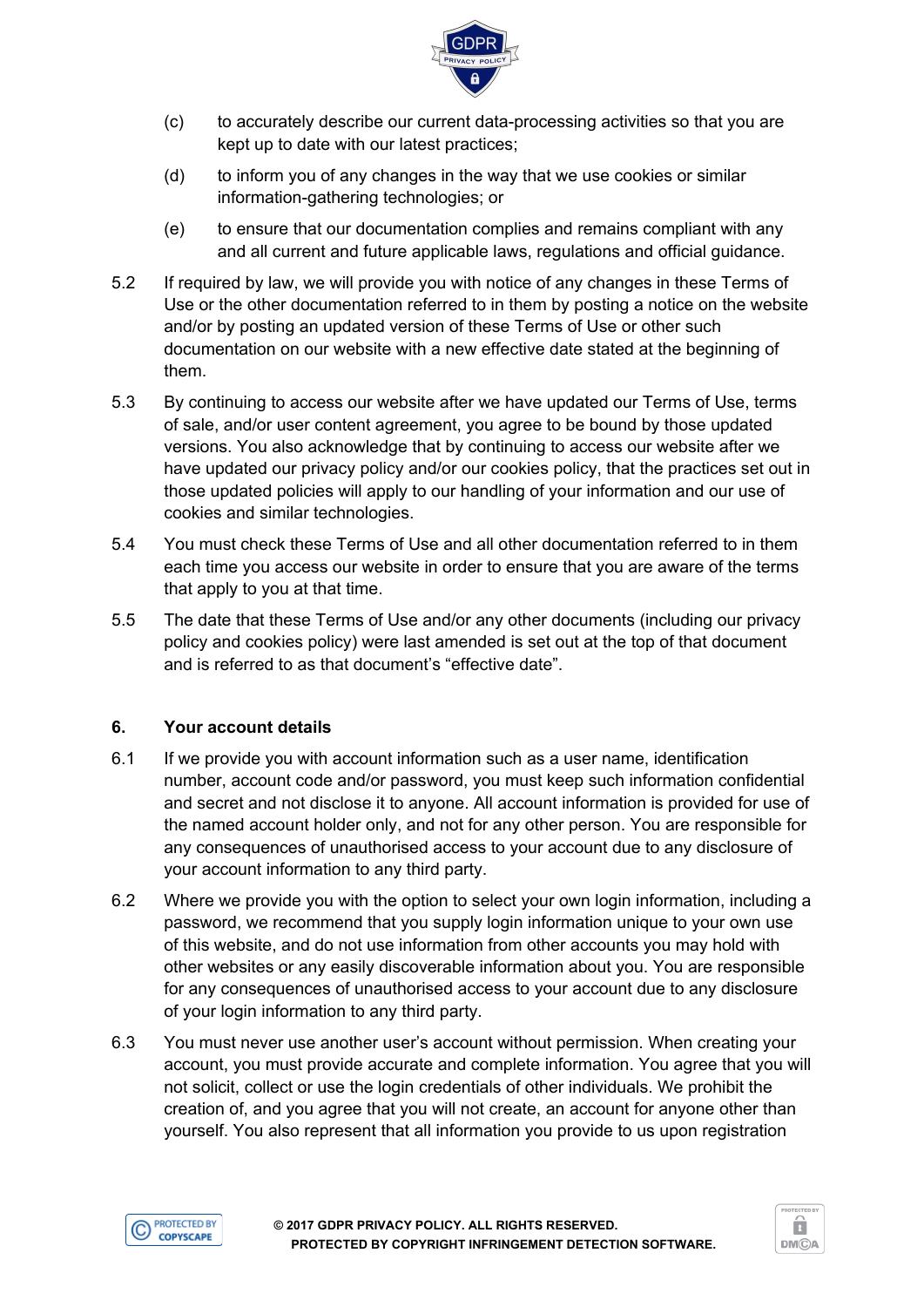

- (c) to accurately describe our current data-processing activities so that you are kept up to date with our latest practices;
- (d) to inform you of any changes in the way that we use cookies or similar information-gathering technologies; or
- (e) to ensure that our documentation complies and remains compliant with any and all current and future applicable laws, regulations and official guidance.
- 5.2 If required by law, we will provide you with notice of any changes in these Terms of Use or the other documentation referred to in them by posting a notice on the website and/or by posting an updated version of these Terms of Use or other such documentation on our website with a new effective date stated at the beginning of them.
- 5.3 By continuing to access our website after we have updated our Terms of Use, terms of sale, and/or user content agreement, you agree to be bound by those updated versions. You also acknowledge that by continuing to access our website after we have updated our privacy policy and/or our cookies policy, that the practices set out in those updated policies will apply to our handling of your information and our use of cookies and similar technologies.
- 5.4 You must check these Terms of Use and all other documentation referred to in them each time you access our website in order to ensure that you are aware of the terms that apply to you at that time.
- 5.5 The date that these Terms of Use and/or any other documents (including our privacy policy and cookies policy) were last amended is set out at the top of that document and is referred to as that document's "effective date".

## **6. Your account details**

- 6.1 If we provide you with account information such as a user name, identification number, account code and/or password, you must keep such information confidential and secret and not disclose it to anyone. All account information is provided for use of the named account holder only, and not for any other person. You are responsible for any consequences of unauthorised access to your account due to any disclosure of your account information to any third party.
- 6.2 Where we provide you with the option to select your own login information, including a password, we recommend that you supply login information unique to your own use of this website, and do not use information from other accounts you may hold with other websites or any easily discoverable information about you. You are responsible for any consequences of unauthorised access to your account due to any disclosure of your login information to any third party.
- 6.3 You must never use another user's account without permission. When creating your account, you must provide accurate and complete information. You agree that you will not solicit, collect or use the login credentials of other individuals. We prohibit the creation of, and you agree that you will not create, an account for anyone other than yourself. You also represent that all information you provide to us upon registration



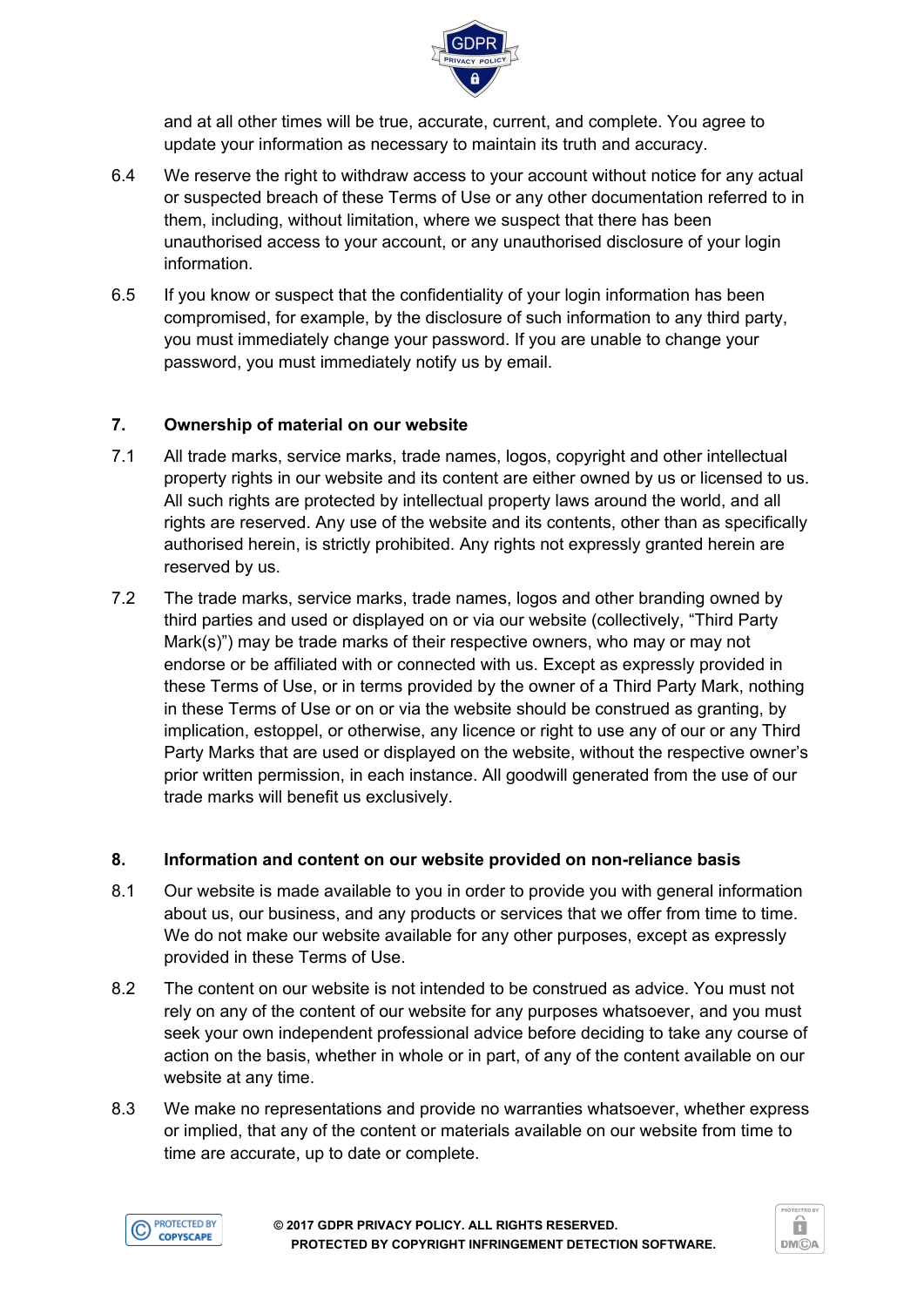

and at all other times will be true, accurate, current, and complete. You agree to update your information as necessary to maintain its truth and accuracy.

- 6.4 We reserve the right to withdraw access to your account without notice for any actual or suspected breach of these Terms of Use or any other documentation referred to in them, including, without limitation, where we suspect that there has been unauthorised access to your account, or any unauthorised disclosure of your login information.
- 6.5 If you know or suspect that the confidentiality of your login information has been compromised, for example, by the disclosure of such information to any third party, you must immediately change your password. If you are unable to change your password, you must immediately notify us by email.

#### **7. Ownership of material on our website**

- 7.1 All trade marks, service marks, trade names, logos, copyright and other intellectual property rights in our website and its content are either owned by us or licensed to us. All such rights are protected by intellectual property laws around the world, and all rights are reserved. Any use of the website and its contents, other than as specifically authorised herein, is strictly prohibited. Any rights not expressly granted herein are reserved by us.
- 7.2 The trade marks, service marks, trade names, logos and other branding owned by third parties and used or displayed on or via our website (collectively, "Third Party Mark(s)") may be trade marks of their respective owners, who may or may not endorse or be affiliated with or connected with us. Except as expressly provided in these Terms of Use, or in terms provided by the owner of a Third Party Mark, nothing in these Terms of Use or on or via the website should be construed as granting, by implication, estoppel, or otherwise, any licence or right to use any of our or any Third Party Marks that are used or displayed on the website, without the respective owner's prior written permission, in each instance. All goodwill generated from the use of our trade marks will benefit us exclusively.

#### **8. Information and content on our website provided on non-reliance basis**

- 8.1 Our website is made available to you in order to provide you with general information about us, our business, and any products or services that we offer from time to time. We do not make our website available for any other purposes, except as expressly provided in these Terms of Use.
- 8.2 The content on our website is not intended to be construed as advice. You must not rely on any of the content of our website for any purposes whatsoever, and you must seek your own independent professional advice before deciding to take any course of action on the basis, whether in whole or in part, of any of the content available on our website at any time.
- 8.3 We make no representations and provide no warranties whatsoever, whether express or implied, that any of the content or materials available on our website from time to time are accurate, up to date or complete.



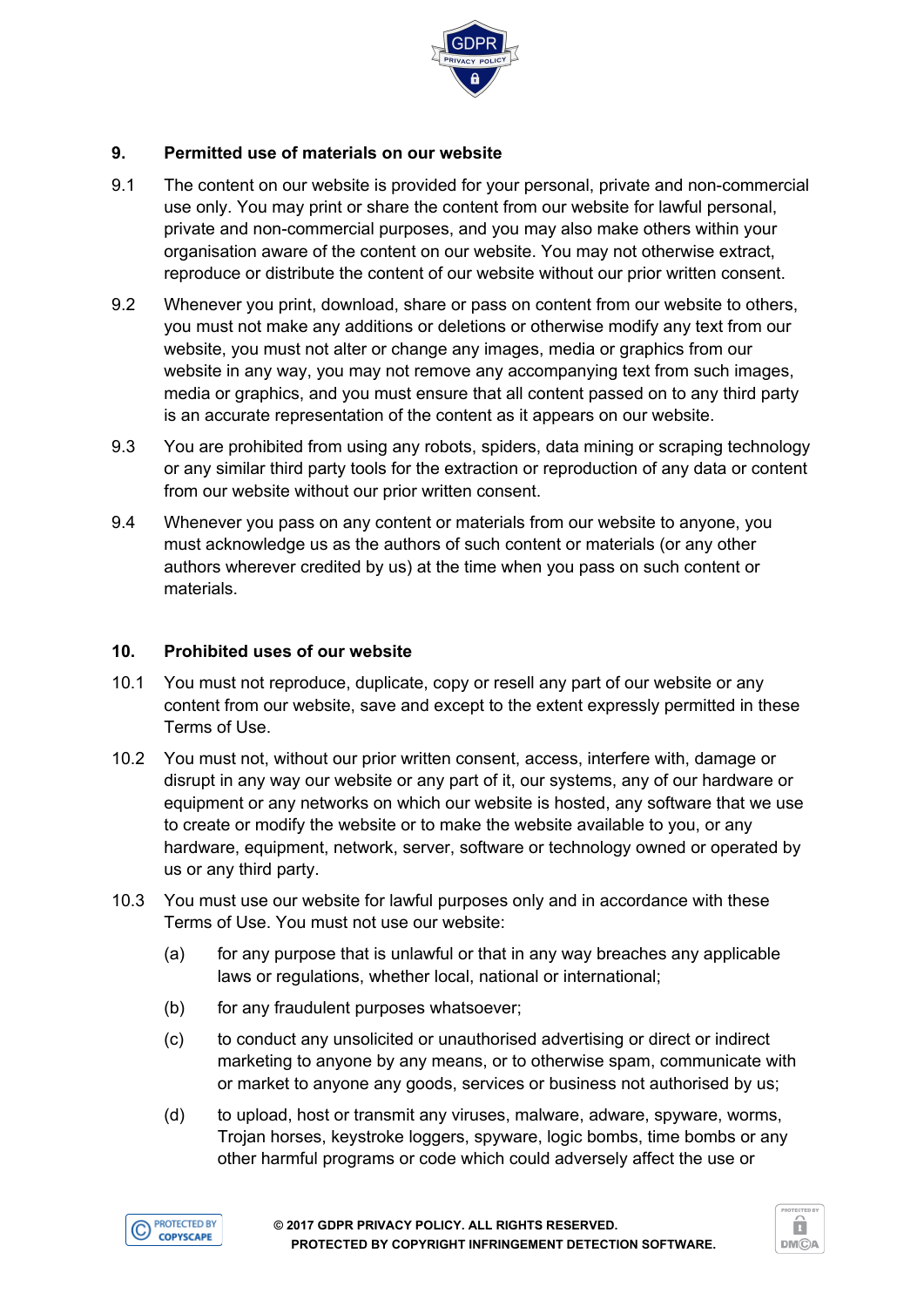

## **9. Permitted use of materials on our website**

- 9.1 The content on our website is provided for your personal, private and non-commercial use only. You may print or share the content from our website for lawful personal, private and non-commercial purposes, and you may also make others within your organisation aware of the content on our website. You may not otherwise extract, reproduce or distribute the content of our website without our prior written consent.
- 9.2 Whenever you print, download, share or pass on content from our website to others, you must not make any additions or deletions or otherwise modify any text from our website, you must not alter or change any images, media or graphics from our website in any way, you may not remove any accompanying text from such images, media or graphics, and you must ensure that all content passed on to any third party is an accurate representation of the content as it appears on our website.
- 9.3 You are prohibited from using any robots, spiders, data mining or scraping technology or any similar third party tools for the extraction or reproduction of any data or content from our website without our prior written consent.
- 9.4 Whenever you pass on any content or materials from our website to anyone, you must acknowledge us as the authors of such content or materials (or any other authors wherever credited by us) at the time when you pass on such content or materials.

#### **10. Prohibited uses of our website**

- 10.1 You must not reproduce, duplicate, copy or resell any part of our website or any content from our website, save and except to the extent expressly permitted in these Terms of Use.
- 10.2 You must not, without our prior written consent, access, interfere with, damage or disrupt in any way our website or any part of it, our systems, any of our hardware or equipment or any networks on which our website is hosted, any software that we use to create or modify the website or to make the website available to you, or any hardware, equipment, network, server, software or technology owned or operated by us or any third party.
- 10.3 You must use our website for lawful purposes only and in accordance with these Terms of Use. You must not use our website:
	- (a) for any purpose that is unlawful or that in any way breaches any applicable laws or regulations, whether local, national or international;
	- (b) for any fraudulent purposes whatsoever;
	- (c) to conduct any unsolicited or unauthorised advertising or direct or indirect marketing to anyone by any means, or to otherwise spam, communicate with or market to anyone any goods, services or business not authorised by us;
	- (d) to upload, host or transmit any viruses, malware, adware, spyware, worms, Trojan horses, keystroke loggers, spyware, logic bombs, time bombs or any other harmful programs or code which could adversely affect the use or



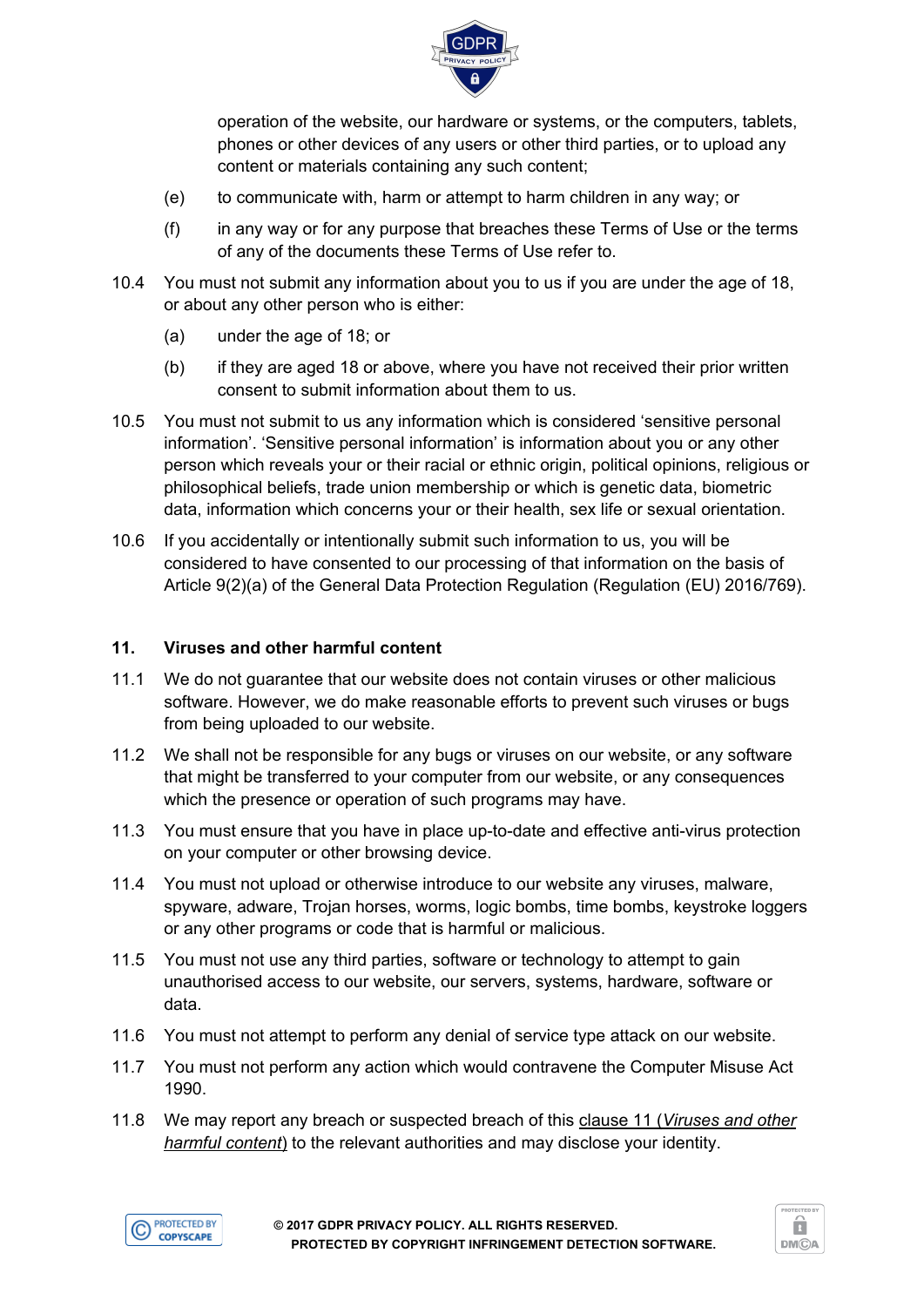

operation of the website, our hardware or systems, or the computers, tablets, phones or other devices of any users or other third parties, or to upload any content or materials containing any such content;

- (e) to communicate with, harm or attempt to harm children in any way; or
- (f) in any way or for any purpose that breaches these Terms of Use or the terms of any of the documents these Terms of Use refer to.
- 10.4 You must not submit any information about you to us if you are under the age of 18, or about any other person who is either:
	- (a) under the age of 18; or
	- (b) if they are aged 18 or above, where you have not received their prior written consent to submit information about them to us.
- 10.5 You must not submit to us any information which is considered 'sensitive personal information'. 'Sensitive personal information' is information about you or any other person which reveals your or their racial or ethnic origin, political opinions, religious or philosophical beliefs, trade union membership or which is genetic data, biometric data, information which concerns your or their health, sex life or sexual orientation.
- 10.6 If you accidentally or intentionally submit such information to us, you will be considered to have consented to our processing of that information on the basis of Article 9(2)(a) of the General Data Protection Regulation (Regulation (EU) 2016/769).

## **11. Viruses and other harmful content**

- 11.1 We do not guarantee that our website does not contain viruses or other malicious software. However, we do make reasonable efforts to prevent such viruses or bugs from being uploaded to our website.
- 11.2 We shall not be responsible for any bugs or viruses on our website, or any software that might be transferred to your computer from our website, or any consequences which the presence or operation of such programs may have.
- 11.3 You must ensure that you have in place up-to-date and effective anti-virus protection on your computer or other browsing device.
- 11.4 You must not upload or otherwise introduce to our website any viruses, malware, spyware, adware, Trojan horses, worms, logic bombs, time bombs, keystroke loggers or any other programs or code that is harmful or malicious.
- 11.5 You must not use any third parties, software or technology to attempt to gain unauthorised access to our website, our servers, systems, hardware, software or data.
- 11.6 You must not attempt to perform any denial of service type attack on our website.
- 11.7 You must not perform any action which would contravene the Computer Misuse Act 1990.
- 11.8 We may report any breach or suspected breach of this clause 11 (*Viruses and other harmful content*) to the relevant authorities and may disclose your identity.



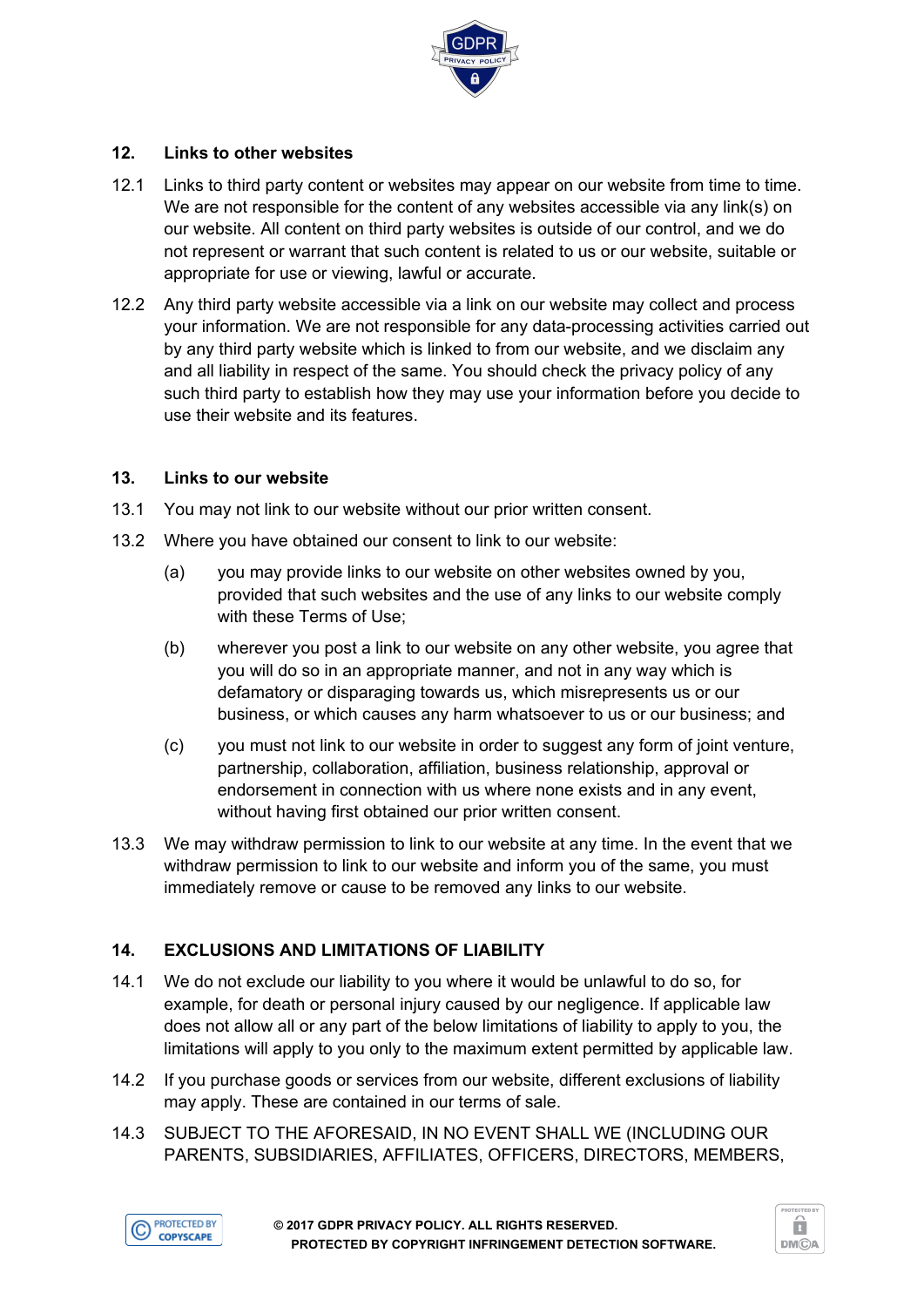

## **12. Links to other websites**

- 12.1 Links to third party content or websites may appear on our website from time to time. We are not responsible for the content of any websites accessible via any link(s) on our website. All content on third party websites is outside of our control, and we do not represent or warrant that such content is related to us or our website, suitable or appropriate for use or viewing, lawful or accurate.
- 12.2 Any third party website accessible via a link on our website may collect and process your information. We are not responsible for any data-processing activities carried out by any third party website which is linked to from our website, and we disclaim any and all liability in respect of the same. You should check the privacy policy of any such third party to establish how they may use your information before you decide to use their website and its features.

#### **13. Links to our website**

- 13.1 You may not link to our website without our prior written consent.
- 13.2 Where you have obtained our consent to link to our website:
	- (a) you may provide links to our website on other websites owned by you, provided that such websites and the use of any links to our website comply with these Terms of Use;
	- (b) wherever you post a link to our website on any other website, you agree that you will do so in an appropriate manner, and not in any way which is defamatory or disparaging towards us, which misrepresents us or our business, or which causes any harm whatsoever to us or our business; and
	- (c) you must not link to our website in order to suggest any form of joint venture, partnership, collaboration, affiliation, business relationship, approval or endorsement in connection with us where none exists and in any event, without having first obtained our prior written consent.
- 13.3 We may withdraw permission to link to our website at any time. In the event that we withdraw permission to link to our website and inform you of the same, you must immediately remove or cause to be removed any links to our website.

## **14. EXCLUSIONS AND LIMITATIONS OF LIABILITY**

- 14.1 We do not exclude our liability to you where it would be unlawful to do so, for example, for death or personal injury caused by our negligence. If applicable law does not allow all or any part of the below limitations of liability to apply to you, the limitations will apply to you only to the maximum extent permitted by applicable law.
- 14.2 If you purchase goods or services from our website, different exclusions of liability may apply. These are contained in our terms of sale.
- 14.3 SUBJECT TO THE AFORESAID, IN NO EVENT SHALL WE (INCLUDING OUR PARENTS, SUBSIDIARIES, AFFILIATES, OFFICERS, DIRECTORS, MEMBERS,



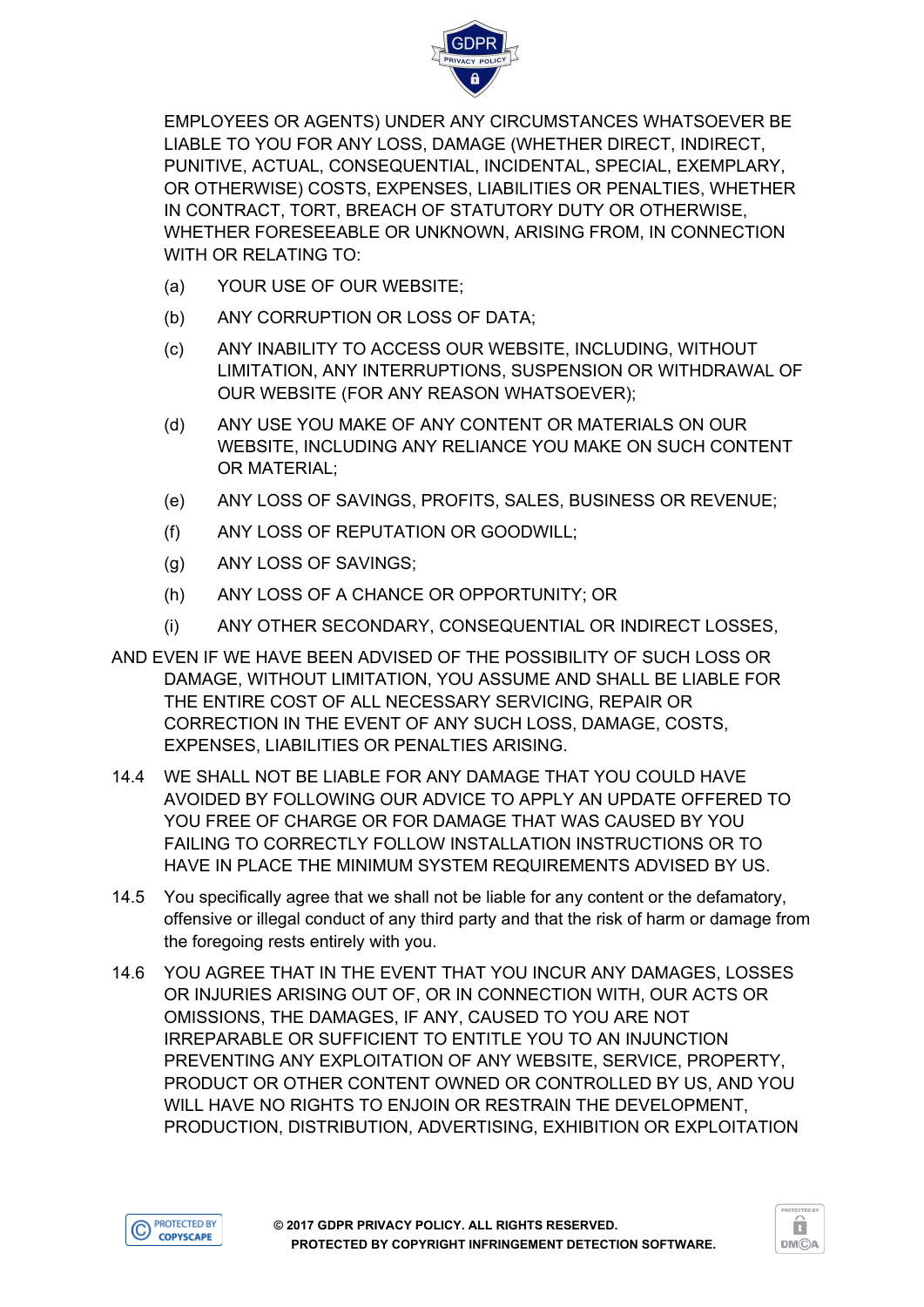

EMPLOYEES OR AGENTS) UNDER ANY CIRCUMSTANCES WHATSOEVER BE LIABLE TO YOU FOR ANY LOSS, DAMAGE (WHETHER DIRECT, INDIRECT, PUNITIVE, ACTUAL, CONSEQUENTIAL, INCIDENTAL, SPECIAL, EXEMPLARY, OR OTHERWISE) COSTS, EXPENSES, LIABILITIES OR PENALTIES, WHETHER IN CONTRACT, TORT, BREACH OF STATUTORY DUTY OR OTHERWISE, WHETHER FORESEEABLE OR UNKNOWN, ARISING FROM, IN CONNECTION WITH OR RELATING TO:

- (a) YOUR USE OF OUR WEBSITE;
- (b) ANY CORRUPTION OR LOSS OF DATA;
- (c) ANY INABILITY TO ACCESS OUR WEBSITE, INCLUDING, WITHOUT LIMITATION, ANY INTERRUPTIONS, SUSPENSION OR WITHDRAWAL OF OUR WEBSITE (FOR ANY REASON WHATSOEVER);
- (d) ANY USE YOU MAKE OF ANY CONTENT OR MATERIALS ON OUR WEBSITE, INCLUDING ANY RELIANCE YOU MAKE ON SUCH CONTENT OR MATERIAL;
- (e) ANY LOSS OF SAVINGS, PROFITS, SALES, BUSINESS OR REVENUE;
- (f) ANY LOSS OF REPUTATION OR GOODWILL;
- (g) ANY LOSS OF SAVINGS;
- (h) ANY LOSS OF A CHANCE OR OPPORTUNITY; OR
- (i) ANY OTHER SECONDARY, CONSEQUENTIAL OR INDIRECT LOSSES,
- AND EVEN IF WE HAVE BEEN ADVISED OF THE POSSIBILITY OF SUCH LOSS OR DAMAGE, WITHOUT LIMITATION, YOU ASSUME AND SHALL BE LIABLE FOR THE ENTIRE COST OF ALL NECESSARY SERVICING, REPAIR OR CORRECTION IN THE EVENT OF ANY SUCH LOSS, DAMAGE, COSTS, EXPENSES, LIABILITIES OR PENALTIES ARISING.
- 14.4 WE SHALL NOT BE LIABLE FOR ANY DAMAGE THAT YOU COULD HAVE AVOIDED BY FOLLOWING OUR ADVICE TO APPLY AN UPDATE OFFERED TO YOU FREE OF CHARGE OR FOR DAMAGE THAT WAS CAUSED BY YOU FAILING TO CORRECTLY FOLLOW INSTALLATION INSTRUCTIONS OR TO HAVE IN PLACE THE MINIMUM SYSTEM REQUIREMENTS ADVISED BY US.
- 14.5 You specifically agree that we shall not be liable for any content or the defamatory, offensive or illegal conduct of any third party and that the risk of harm or damage from the foregoing rests entirely with you.
- 14.6 YOU AGREE THAT IN THE EVENT THAT YOU INCUR ANY DAMAGES, LOSSES OR INJURIES ARISING OUT OF, OR IN CONNECTION WITH, OUR ACTS OR OMISSIONS, THE DAMAGES, IF ANY, CAUSED TO YOU ARE NOT IRREPARABLE OR SUFFICIENT TO ENTITLE YOU TO AN INJUNCTION PREVENTING ANY EXPLOITATION OF ANY WEBSITE, SERVICE, PROPERTY, PRODUCT OR OTHER CONTENT OWNED OR CONTROLLED BY US, AND YOU WILL HAVE NO RIGHTS TO ENJOIN OR RESTRAIN THE DEVELOPMENT, PRODUCTION, DISTRIBUTION, ADVERTISING, EXHIBITION OR EXPLOITATION



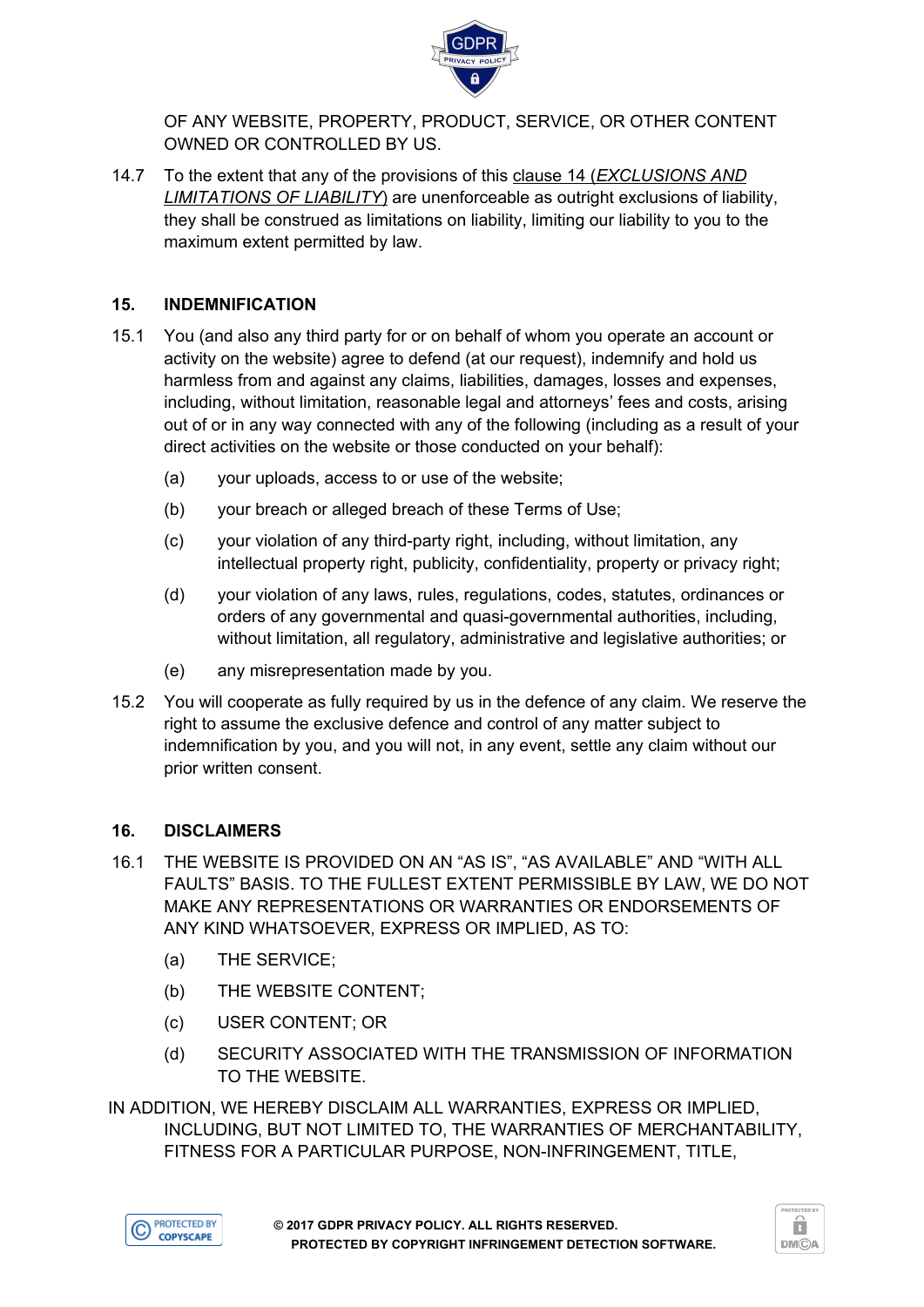

OF ANY WEBSITE, PROPERTY, PRODUCT, SERVICE, OR OTHER CONTENT OWNED OR CONTROLLED BY US.

14.7 To the extent that any of the provisions of this clause 14 (*EXCLUSIONS AND LIMITATIONS OF LIABILITY*) are unenforceable as outright exclusions of liability, they shall be construed as limitations on liability, limiting our liability to you to the maximum extent permitted by law.

#### **15. INDEMNIFICATION**

- 15.1 You (and also any third party for or on behalf of whom you operate an account or activity on the website) agree to defend (at our request), indemnify and hold us harmless from and against any claims, liabilities, damages, losses and expenses, including, without limitation, reasonable legal and attorneys' fees and costs, arising out of or in any way connected with any of the following (including as a result of your direct activities on the website or those conducted on your behalf):
	- (a) your uploads, access to or use of the website;
	- (b) your breach or alleged breach of these Terms of Use;
	- (c) your violation of any third-party right, including, without limitation, any intellectual property right, publicity, confidentiality, property or privacy right;
	- (d) your violation of any laws, rules, regulations, codes, statutes, ordinances or orders of any governmental and quasi-governmental authorities, including, without limitation, all regulatory, administrative and legislative authorities; or
	- (e) any misrepresentation made by you.
- 15.2 You will cooperate as fully required by us in the defence of any claim. We reserve the right to assume the exclusive defence and control of any matter subject to indemnification by you, and you will not, in any event, settle any claim without our prior written consent.

#### **16. DISCLAIMERS**

- 16.1 THE WEBSITE IS PROVIDED ON AN "AS IS", "AS AVAILABLE" AND "WITH ALL FAULTS" BASIS. TO THE FULLEST EXTENT PERMISSIBLE BY LAW, WE DO NOT MAKE ANY REPRESENTATIONS OR WARRANTIES OR ENDORSEMENTS OF ANY KIND WHATSOEVER, EXPRESS OR IMPLIED, AS TO:
	- (a) THE SERVICE;
	- (b) THE WEBSITE CONTENT;
	- (c) USER CONTENT; OR
	- (d) SECURITY ASSOCIATED WITH THE TRANSMISSION OF INFORMATION TO THE WEBSITE.

IN ADDITION, WE HEREBY DISCLAIM ALL WARRANTIES, EXPRESS OR IMPLIED, INCLUDING, BUT NOT LIMITED TO, THE WARRANTIES OF MERCHANTABILITY, FITNESS FOR A PARTICULAR PURPOSE, NON-INFRINGEMENT, TITLE,



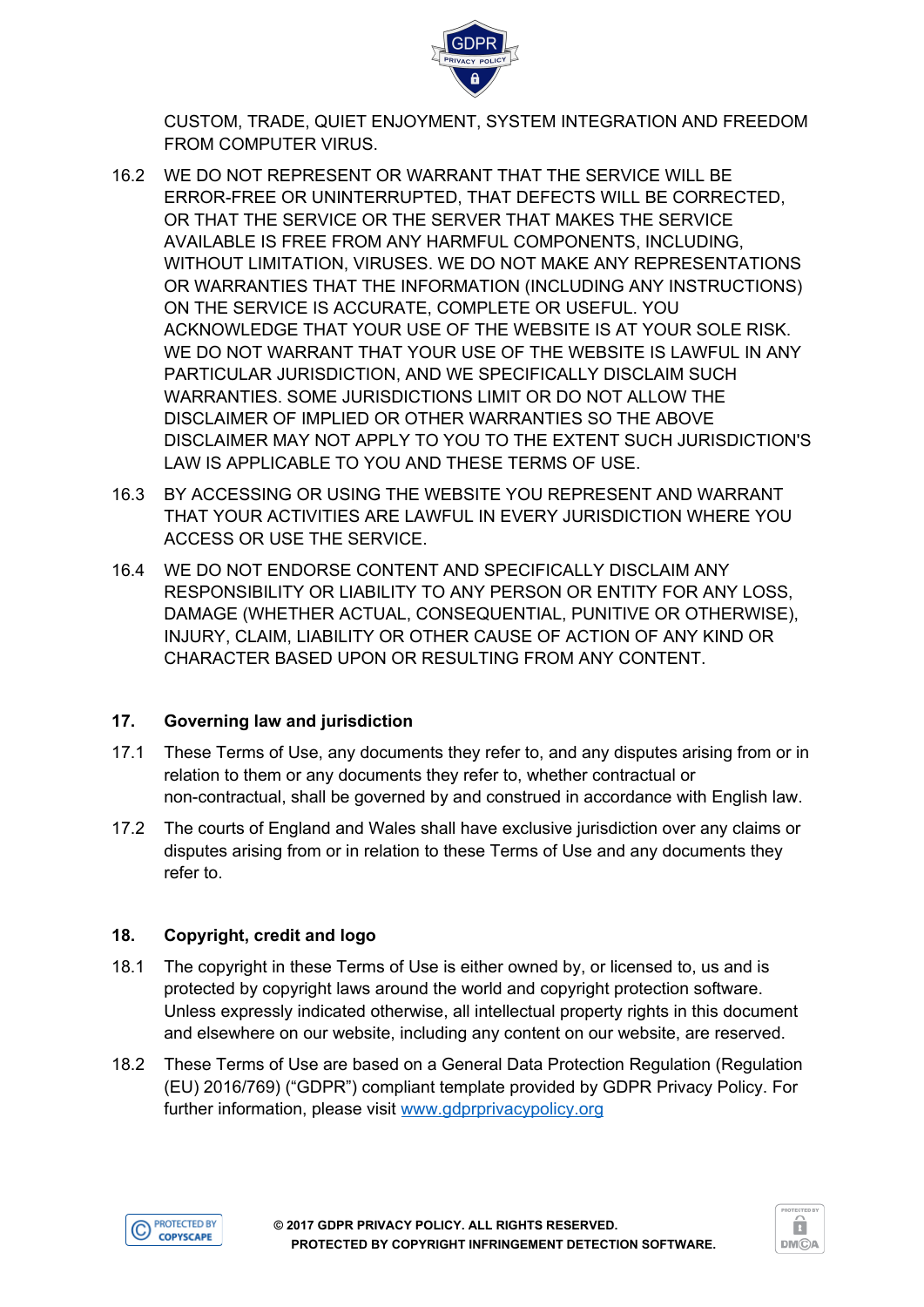

CUSTOM, TRADE, QUIET ENJOYMENT, SYSTEM INTEGRATION AND FREEDOM FROM COMPUTER VIRUS.

- 16.2 WE DO NOT REPRESENT OR WARRANT THAT THE SERVICE WILL BE ERROR-FREE OR UNINTERRUPTED, THAT DEFECTS WILL BE CORRECTED, OR THAT THE SERVICE OR THE SERVER THAT MAKES THE SERVICE AVAILABLE IS FREE FROM ANY HARMFUL COMPONENTS, INCLUDING, WITHOUT LIMITATION, VIRUSES. WE DO NOT MAKE ANY REPRESENTATIONS OR WARRANTIES THAT THE INFORMATION (INCLUDING ANY INSTRUCTIONS) ON THE SERVICE IS ACCURATE, COMPLETE OR USEFUL. YOU ACKNOWLEDGE THAT YOUR USE OF THE WEBSITE IS AT YOUR SOLE RISK. WE DO NOT WARRANT THAT YOUR USE OF THE WEBSITE IS LAWFUL IN ANY PARTICULAR JURISDICTION, AND WE SPECIFICALLY DISCLAIM SUCH WARRANTIES. SOME JURISDICTIONS LIMIT OR DO NOT ALLOW THE DISCLAIMER OF IMPLIED OR OTHER WARRANTIES SO THE ABOVE DISCLAIMER MAY NOT APPLY TO YOU TO THE EXTENT SUCH JURISDICTION'S LAW IS APPLICABLE TO YOU AND THESE TERMS OF USE.
- 16.3 BY ACCESSING OR USING THE WEBSITE YOU REPRESENT AND WARRANT THAT YOUR ACTIVITIES ARE LAWFUL IN EVERY JURISDICTION WHERE YOU ACCESS OR USE THE SERVICE.
- 16.4 WE DO NOT ENDORSE CONTENT AND SPECIFICALLY DISCLAIM ANY RESPONSIBILITY OR LIABILITY TO ANY PERSON OR ENTITY FOR ANY LOSS, DAMAGE (WHETHER ACTUAL, CONSEQUENTIAL, PUNITIVE OR OTHERWISE), INJURY, CLAIM, LIABILITY OR OTHER CAUSE OF ACTION OF ANY KIND OR CHARACTER BASED UPON OR RESULTING FROM ANY CONTENT.

## **17. Governing law and jurisdiction**

- 17.1 These Terms of Use, any documents they refer to, and any disputes arising from or in relation to them or any documents they refer to, whether contractual or non-contractual, shall be governed by and construed in accordance with English law.
- 17.2 The courts of England and Wales shall have exclusive jurisdiction over any claims or disputes arising from or in relation to these Terms of Use and any documents they refer to.

## **18. Copyright, credit and logo**

- 18.1 The copyright in these Terms of Use is either owned by, or licensed to, us and is protected by copyright laws around the world and copyright protection software. Unless expressly indicated otherwise, all intellectual property rights in this document and elsewhere on our website, including any content on our website, are reserved.
- 18.2 These Terms of Use are based on a General Data Protection Regulation (Regulation (EU) 2016/769) ("GDPR") compliant template provided by GDPR Privacy Policy. For further information, please visit [www.gdprprivacypolicy.org](http://www.gdprprivacypolicy.org/)